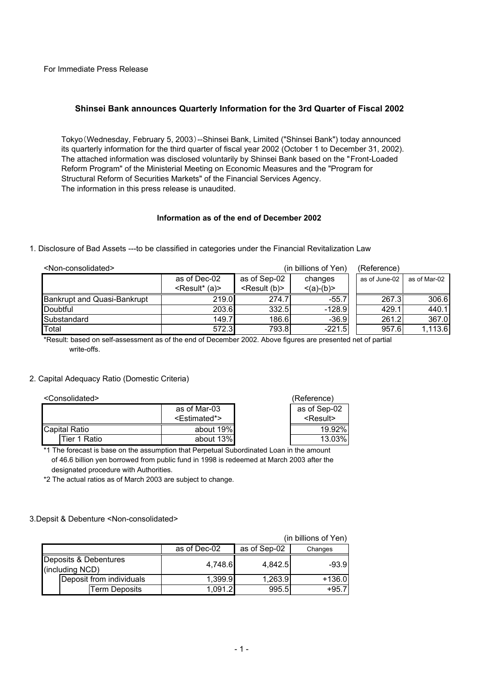For Immediate Press Release

# **Shinsei Bank announces Quarterly Information for the 3rd Quarter of Fiscal 2002**

Tokyo(Wednesday, February 5, 2003)--Shinsei Bank, Limited ("Shinsei Bank") today announced its quarterly information for the third quarter of fiscal year 2002 (October 1 to December 31, 2002). The attached information was disclosed voluntarily by Shinsei Bank based on the "Front-Loaded Reform Program" of the Ministerial Meeting on Economic Measures and the "Program for Structural Reform of Securities Markets" of the Financial Services Agency. The information in this press release is unaudited.

## **Information as of the end of December 2002**

1. Disclosure of Bad Assets ---to be classified in categories under the Financial Revitalization Law

| <non-consolidated></non-consolidated> |                            |                          | (in billions of Yen) | (Reference)   |              |
|---------------------------------------|----------------------------|--------------------------|----------------------|---------------|--------------|
|                                       | as of Dec-02               | as of Sep-02             | changes              | as of June-02 | as of Mar-02 |
|                                       | <result* (a)=""></result*> | <result (b)=""></result> | $\leq$ (a)-(b)>      |               |              |
| <b>Bankrupt and Quasi-Bankrupt</b>    | 219.0                      | 274.7                    | $-55.7$              | 267.3         | 306.6        |
| Doubtful                              | 203.6                      | 332.5                    | $-128.9$             | 429.1         | 440.1        |
| Substandard                           | 149.7                      | 186.6                    | $-36.9$              | 261.2         | 367.0        |
| Total                                 | 572.3                      | 793.81                   | $-221.5$             | 957.6         | 1,113.6      |

\*Result: based on self-assessment as of the end of December 2002. Above figures are presented net of partial write-offs.

## 2. Capital Adequacy Ratio (Domestic Criteria)

<Consolidated> (Reference)

| as of Mar-03  |                           | as of Sep-02      |
|---------------|---------------------------|-------------------|
|               | <estimated*></estimated*> | <result></result> |
| Capital Ratio | about 19%                 | 19.92%            |
| Tier 1 Ratio  | about 13%                 | 13.03%            |

\*1 The forecast is base on the assumption that Perpetual Subordinated Loan in the amount of 46.6 billion yen borrowed from public fund in 1998 is redeemed at March 2003 after the designated procedure with Authorities.

\*2 The actual ratios as of March 2003 are subject to change.

## 3.Depsit & Debenture <Non-consolidated>

| (in billions of Yen)                     |              |              |          |  |  |  |
|------------------------------------------|--------------|--------------|----------|--|--|--|
|                                          | as of Dec-02 | as of Sep-02 | Changes  |  |  |  |
| Deposits & Debentures<br>(including NCD) | 4,748.6      | 4.842.5      | $-93.9$  |  |  |  |
| Deposit from individuals                 | 1,399.9      | 1,263.9      | $+136.0$ |  |  |  |
| <b>Term Deposits</b>                     | 1.091.2      | 995.5        | $+95.7$  |  |  |  |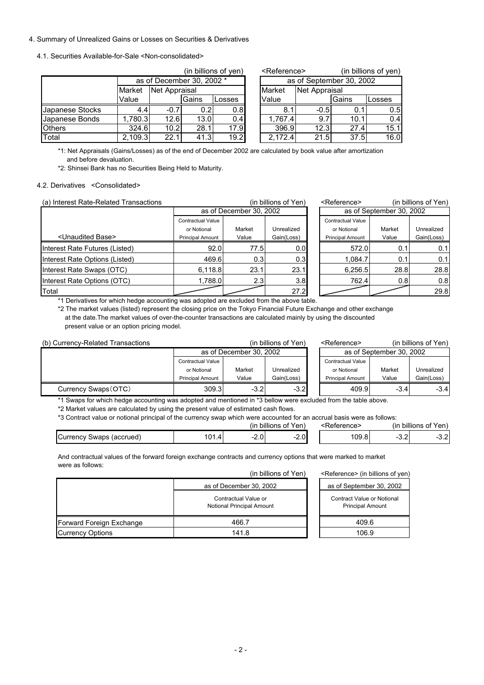#### 4. Summary of Unrealized Gains or Losses on Securities & Derivatives

#### 4.1. Securities Available-for-Sale <Non-consolidated>

|                 |               |                           |               | (in billions of yen) |  | <reference></reference>  |               |       | (in billions of yen) |  |  |
|-----------------|---------------|---------------------------|---------------|----------------------|--|--------------------------|---------------|-------|----------------------|--|--|
|                 |               | as of December 30, 2002 * |               |                      |  | as of September 30, 2002 |               |       |                      |  |  |
|                 | <b>Market</b> |                           | Net Appraisal |                      |  | Market                   | Net Appraisal |       |                      |  |  |
|                 | Value         |                           | Gains         | Losses               |  | Value                    |               | Gains | Losses               |  |  |
| Japanese Stocks | 4.4           | $-0.7$                    | 0.21          | 0.8                  |  | 8.1                      | $-0.5$        | 0.1   | 0.5                  |  |  |
| Japanese Bonds  | 1,780.3       | 12.6                      | 13.0          | 0.4                  |  | 1,767.4                  | 9.7           | 10.1  | 0.4                  |  |  |
| <b>Others</b>   | 324.6         | 10.2                      | 28.1          | 17.9                 |  | 396.9                    | 12.3          | 27.4  | 15.1                 |  |  |
| Total           | 2.109.3       | 22.1                      | 41.3          | 19.2                 |  | 2.172.4                  | 21.5          | 37.5  | 16.0                 |  |  |

| <reference></reference>  |        | (in billions of yen) |        |  |  |  |  |  |
|--------------------------|--------|----------------------|--------|--|--|--|--|--|
| as of September 30, 2002 |        |                      |        |  |  |  |  |  |
| Market                   |        | Net Appraisal        |        |  |  |  |  |  |
| Value                    |        | Gains                | _osses |  |  |  |  |  |
| 8.1                      | $-0.5$ | 0.1                  | 0.5    |  |  |  |  |  |
| 1,767.4                  | 9.7    | 10.1                 | 0.4    |  |  |  |  |  |
| 396.9                    | 12.3   | 27.4                 | 15.1   |  |  |  |  |  |
| 2,172.4                  | 21.5   | 37.5                 | 16.0   |  |  |  |  |  |

\*1: Net Appraisals (Gains/Losses) as of the end of December 2002 are calculated by book value after amortization and before devaluation.

\*2: Shinsei Bank has no Securities Being Held to Maturity.

#### 4.2. Derivatives <Consolidated>

| (a) Interest Rate-Related Transactions |                          |                         | (in billions of Yen) | <reference></reference>  |                          | (in billions of Yen) |
|----------------------------------------|--------------------------|-------------------------|----------------------|--------------------------|--------------------------|----------------------|
|                                        |                          | as of December 30, 2002 |                      |                          | as of September 30, 2002 |                      |
|                                        | <b>Contractual Value</b> |                         |                      | <b>Contractual Value</b> |                          |                      |
|                                        | or Notional              | Market                  | Unrealized           | or Notional              | Market                   | Unrealized           |
| <unaudited base=""></unaudited>        | <b>Principal Amount</b>  | Value                   | Gain(Loss)           | <b>Principal Amount</b>  | Value                    | Gain(Loss)           |
| Interest Rate Futures (Listed)         | 92.0                     | 77.5                    | 0.01                 | 572.0                    | 0.1                      | 0.1                  |
| Interest Rate Options (Listed)         | 469.6                    | 0.3                     | 0.3                  | 1.084.7                  | 0.1                      | 0.1                  |
| Interest Rate Swaps (OTC)              | 6.118.8                  | 23.1                    | 23.1                 | 6,256.5                  | 28.8                     | 28.8                 |
| Interest Rate Options (OTC)            | 1,788.0 $ $              | 2.3                     | 3.8                  | 762.4                    | 0.81                     | 0.8                  |
| Total                                  |                          |                         | 27.2                 |                          |                          | 29.8                 |

| (in billions of Yen)  |                         | <reference></reference> |                          | (in billions of Yen)     |            |  |
|-----------------------|-------------------------|-------------------------|--------------------------|--------------------------|------------|--|
|                       | as of December 30, 2002 |                         |                          | as of September 30, 2002 |            |  |
| <b>tractual Value</b> |                         |                         | <b>Contractual Value</b> |                          |            |  |
| or Notional           | Market                  | Unrealized              | or Notional              | Market                   | Unrealized |  |
| ncipal Amount         | Value                   | Gain(Loss)              | <b>Principal Amount</b>  | Value                    | Gain(Loss) |  |
| 92.0                  | 77.5                    | 0.0 <sub>l</sub>        | 572.0                    | 0.1                      | 0.1        |  |
| 469.6                 | 0.3 <sub>l</sub>        | 0.3 <sub>l</sub>        | 1,084.7                  | 0.1                      | 0.1        |  |
| 6,118.8               | 23.1                    | 23.1                    | 6,256.5                  | 28.8                     | 28.8       |  |
| 1,788.0               | 2.3                     | 3.8                     | 762.4                    | 0.8                      | 0.8        |  |
|                       |                         | 27.2                    |                          |                          | 29.8       |  |

\*1 Derivatives for which hedge accounting was adopted are excluded from the above table.

\*2 The market values (listed) represent the closing price on the Tokyo Financial Future Exchange and other exchange at the date.The market values of over-the-counter transactions are calculated mainly by using the discounted present value or an option pricing model.

| (b) Currency-Related Transactions |                         |        | (in billions of Yen) | <reference></reference> |                          | (in billions of Yen) |
|-----------------------------------|-------------------------|--------|----------------------|-------------------------|--------------------------|----------------------|
|                                   | as of December 30, 2002 |        |                      |                         | as of September 30, 2002 |                      |
|                                   | Contractual Value       |        |                      | Contractual Value       |                          |                      |
|                                   | or Notional             | Market | Unrealized           | or Notional             | Market                   | Unrealized           |
|                                   | <b>Principal Amount</b> | Value  | Gain(Loss)           | <b>Principal Amount</b> | Value                    | Gain(Loss)           |
| Currency Swaps (OTC)              | 309.3                   | $-3.2$ | $-3.2$               | 409.9                   | $-3.4$                   | $-3.4$               |
|                                   |                         |        |                      |                         |                          |                      |

\*1 Swaps for which hedge accounting was adopted and mentioned in \*3 bellow were excluded from the table above.

\*2 Market values are calculated by using the present value of estimated cash flows.

\*3 Contract value or notional principal of the currency swap which were accounted for an accrual basis were as follows:

|                                         |                     |                        | of Yen)<br>billions      | :Reference> | $\cdots$<br><br>(ın | billions of Yen) |
|-----------------------------------------|---------------------|------------------------|--------------------------|-------------|---------------------|------------------|
| (accrued)<br>` urrencvٽ<br><b>Swaps</b> | $1^{\sim}$<br>101.4 | $\sim$ $\sim$<br>∠.∪ · | $\sim$<br>$\sim$<br>Z.U. | 109.81      | ◡.▵                 | ו הי<br>◡.←      |

And contractual values of the forward foreign exchange contracts and currency options that were marked to market were as follows:

| were as rollows.         | (in billions of Yen)                                     | <reference> (in billions of yen)</reference>          |  |  |
|--------------------------|----------------------------------------------------------|-------------------------------------------------------|--|--|
|                          | as of December 30, 2002                                  | as of September 30, 2002                              |  |  |
|                          | Contractual Value or<br><b>Notional Principal Amount</b> | Contract Value or Notional<br><b>Principal Amount</b> |  |  |
| Forward Foreign Exchange | 466.7                                                    | 409.6                                                 |  |  |
| <b>Currency Options</b>  | 141.8                                                    | 106.9                                                 |  |  |

| as or September 30, 2002                              |  |
|-------------------------------------------------------|--|
| Contract Value or Notional<br><b>Principal Amount</b> |  |
| 409.6                                                 |  |
| 106.9                                                 |  |